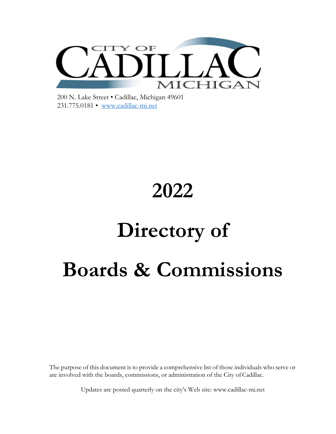

200 N. Lake Street • Cadillac, Michigan 49601 231.775.0181 • [www.cadillac-mi.net](http://www.cadillac-mi.net/)

# **2022 Directory of Boards & Commissions**

The purpose of this document is to provide a comprehensive list of those individuals who serve or are involved with the boards, commissions, or administration of the City ofCadillac.

Updates are posted quarterly on the city's Web site: [www.cadillac-mi.net](http://www.cadillac-mi.net/)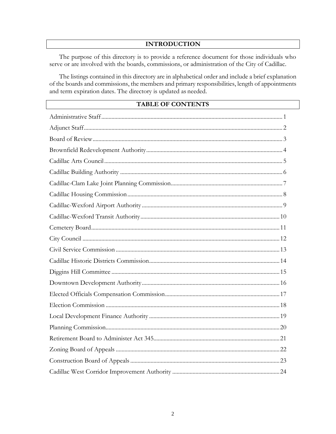#### **INTRODUCTION**

The purpose of this directory is to provide a reference document for those individuals who serve or are involved with the boards, commissions, or administration of the City of Cadillac.

The listings contained in this directory are in alphabetical order and include a brief explanation of the boards and commissions, the members and primary responsibilities, length of appointments and term expiration dates. The directory is updated as needed.

#### TABLE OF CONTENTS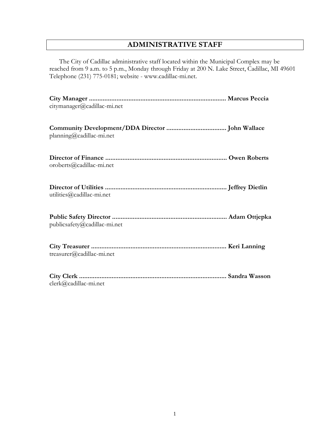# **ADMINISTRATIVE STAFF**

The City of Cadillac administrative staff located within the Municipal Complex may be reached from 9 a.m. to 5 p.m., Monday through Friday at 200 N. Lake Street, Cadillac, MI 49601 Telephone (231) 775-0181; website - [www.cadillac-mi.net.](http://www.cadillac-mi.net/)

| citymanager@cadillac-mi.net  |  |
|------------------------------|--|
| planning@cadillac-mi.net     |  |
| oroberts@cadillac-mi.net     |  |
| utilities@cadillac-mi.net    |  |
| publicsafety@cadillac-mi.net |  |
| $t$ reasurer@cadillac-mi.net |  |
| $clerk@cadillac-mi.net$      |  |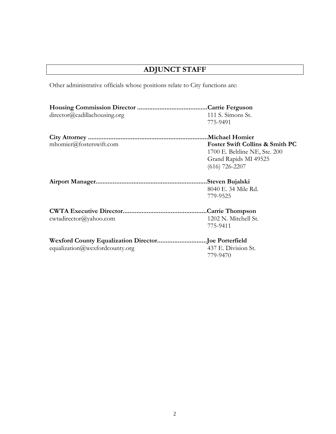# **ADJUNCT STAFF**

Other administrative officials whose positions relate to City functions are:

| director@cadillachousing.org   | 111 S. Simons St.                          |
|--------------------------------|--------------------------------------------|
|                                | 775-9491                                   |
|                                |                                            |
| mhomier@fosterswift.com        | <b>Foster Swift Collins &amp; Smith PC</b> |
|                                | 1700 E. Beltline NE, Ste. 200              |
|                                | Grand Rapids MI 49525                      |
|                                | $(616)$ 726-2207                           |
|                                | .Steven Bujalski                           |
|                                | 8040 E. 34 Mile Rd.                        |
|                                | 779-9525                                   |
|                                |                                            |
| cwtadirector@yahoo.com         | 1202 N. Mitchell St.                       |
|                                | 775-9411                                   |
|                                |                                            |
| equalization@wexfordcounty.org | 437 E. Division St.                        |
|                                | 779-9470                                   |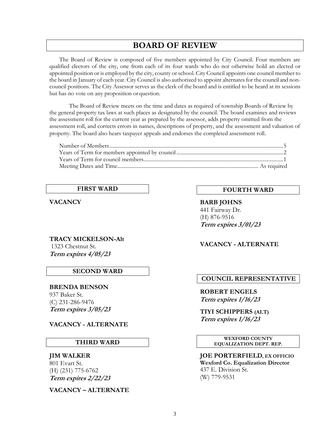# **BOARD OF REVIEW**

The Board of Review is composed of five members appointed by City Council. Four members are qualified electors of the city, one from each of its four wards who do not otherwise hold an elected or appointed position or is employed by the city, county orschool. City Council appoints one council member to the board in January of each year. City Council is also authorized to appoint alternates for the council and noncouncil positions. The City Assessor serves as the clerk of the board and is entitled to be heard at its sessions but has no vote on any proposition or question.

The Board of Review meets on the time and dates as required of township Boards of Review by the general property tax laws at such places as designated by the council. The board examines and reviews the assessment roll for the current year as prepared by the assessor, adds property omitted from the assessment roll, and corrects errors in names, descriptions of property, and the assessment and valuation of property. The board also hears taxpayer appeals and endorses the completed assessment roll.

#### **FIRST WARD**

**VACANCY**

#### **TRACY MICKELSON-Alt** 1323 Chestnut St. **Term expires 4/05/23**

#### **SECOND WARD**

 **BRENDA BENSON** 937 Baker St. (C) 231-286-9476 **Term expires 3/05/23**

#### **VACANCY - ALTERNATE**

#### **THIRD WARD**

#### **JIM WALKER**

801 Evart St. (H) (231) 775-6762 **Term expires 2/22/23**

**VACANCY – ALTERNATE**

#### **FOURTH WARD**

**BARB JOHNS** 441 Fairway Dr. (H) 876-9516 **Term expires 3/01/23**

#### **VACANCY - ALTERNATE**

#### **COUNCIL REPRESENTATIVE**

**ROBERT ENGELS Term expires 1/16/23**

**TIYI SCHIPPERS (ALT) Term expires 1/16/23**

#### **WEXFORD COUNTY EQUALIZATION DEPT. REP.**

**JOE PORTERFIELD, EX OFFICIO Wexford Co. Equalization Director** 437 E. Division St. (W) 779-9531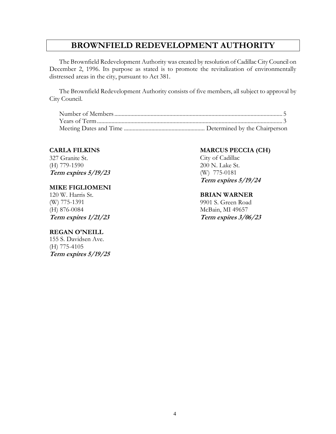# **BROWNFIELD REDEVELOPMENT AUTHORITY**

The Brownfield Redevelopment Authority was created by resolution of Cadillac City Council on December 2, 1996. Its purpose as stated is to promote the revitalization of environmentally distressed areas in the city, pursuant to Act 381.

The Brownfield Redevelopment Authority consists of five members, all subject to approval by City Council.

#### **CARLA FILKINS**

327 Granite St. (H) 779-1590 **Term expires 5/19/23**

#### **MIKE FIGLIOMENI**

120 W. Harris St. (W) 775-1391 (H) 876-0084 **Term expires 1/21/23**

#### **REGAN O'NEILL**

155 S. Davidsen Ave. (H) 775-4105 **Term expires 5/19/25**

#### **MARCUS PECCIA (CH)**

City of Cadillac 200 N. Lake St. (W) 775-0181 **Term expires 5/19/24**

#### **BRIAN WARNER**

9901 S. Green Road McBain, MI 49657 **Term expires 3/06/23**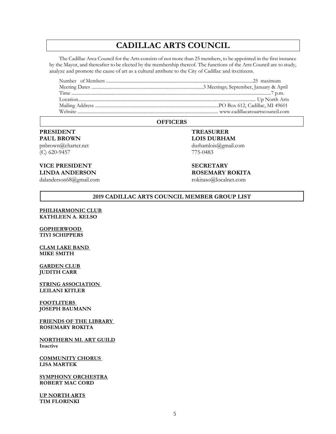# **CADILLAC ARTS COUNCIL**

The Cadillac Area Council for the Arts consists of not more than 25 members, to be appointed in the first instance by the Mayor, and thereafter to be elected by the membership thereof. The functions of the Arts Council are to study, analyze and promote the cause of art as a cultural attribute to the City of Cadillac and itscitizens.

Number of Members .................................................................................................................................25 maximum Meeting Dates .............................................................................................3 Meetings; September, January & April Time ..........................................................................................................................................................................7 p.m. Location.................................................................................................................................................... Up North Arts Mailing Address .......................................................................................................PO Box 612, Cadillac, MI 49601 Website ..................................................................................................................... [www.cadillacareaartscouncil.com](http://www.cadillacareaartscouncil.com/)

#### **OFFICERS**

#### **PRESIDENT PAUL BROWN**

[pnbrown@charter.net](mailto:pnbrown@charter.net) (C) 620-9457

#### **VICE PRESIDENT LINDA ANDERSON**

[dalanderson68@gmail.com](mailto:dalanderson68@gmail.com)

**TREASURER LOIS DURHAM** [durhamlois@gmail.com](mailto:durhamlois@gmail.com) 775-0483

**SECRETARY ROSEMARY ROKITA**

[rokitaso@localnet.com](mailto:rokitaso@localnet.com)

#### **2019 CADILLAC ARTS COUNCIL MEMBER GROUP LIST**

#### **PHILHARMONIC CLUB KATHLEEN A. KELSO**

#### **GOPHERWOOD TIYI SCHIPPERS**

**CLAM LAKE BAND MIKE SMITH**

#### **GARDEN CLUB JUDITH CARR**

**STRING ASSOCIATION LEILANI KITLER**

**FOOTLITERS JOSEPH BAUMANN**

**FRIENDS OF THE LIBRARY ROSEMARY ROKITA**

**NORTHERN MI. ART GUILD Inactive**

**COMMUNITY CHORUS LISA MARTEK**

**SYMPHONY ORCHESTRA ROBERT MAC CORD**

**UP NORTH ARTS TIM FLORINKI**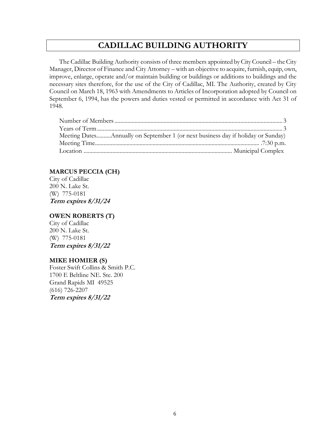# **CADILLAC BUILDING AUTHORITY**

The Cadillac Building Authority consists of three members appointed by City Council – the City Manager, Director of Finance and City Attorney – with an objective to acquire, furnish, equip, own, improve, enlarge, operate and/or maintain building or buildings or additions to buildings and the necessary sites therefore, for the use of the City of Cadillac, MI. The Authority, created by City Council on March 18, 1963 with Amendments to Articles of Incorporation adopted by Council on September 6, 1994, has the powers and duties vested or permitted in accordance with Act 31 of 1948.

| Meeting DatesAnnually on September 1 (or next business day if holiday or Sunday) |  |
|----------------------------------------------------------------------------------|--|
|                                                                                  |  |
|                                                                                  |  |

#### **MARCUS PECCIA (CH)**

City of Cadillac 200 N. Lake St. (W) 775-0181 **Term expires 8/31/24**

#### **OWEN ROBERTS (T)**

City of Cadillac 200 N. Lake St. (W) 775-0181 **Term expires 8/31/22**

#### **MIKE HOMIER (S)**

Foster Swift Collins & Smith P.C. 1700 E Beltline NE. Ste. 200 Grand Rapids MI 49525 (616) 726-2207 **Term expires 8/31/22**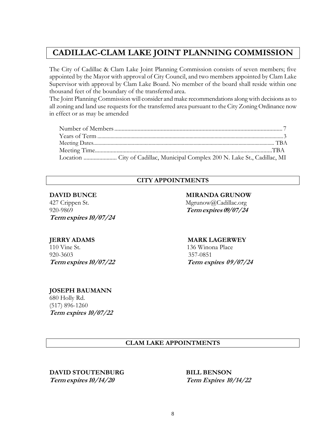# **CADILLAC-CLAM LAKE JOINT PLANNING COMMISSION**

The City of Cadillac & Clam Lake Joint Planning Commission consists of seven members; five appointed by the Mayor with approval of City Council, and two members appointed by Clam Lake Supervisor with approval by Clam Lake Board. No member of the board shall reside within one thousand feet of the boundary of the transferred area.

The Joint Planning Commission will consider and make recommendations alongwith decisions as to all zoning and land use requests for the transferred area pursuant to the City Zoning Ordinance now in effect or as may be amended

#### **CITY APPOINTMENTS**

427 Crippen St. Mgrunow@Cadillac.org 920-9869 **Termexpires 09/07/24 Term expires 10/07/24**

110 Vine St.136 Winona Place 920-3603 357-0851

#### **DAVID BUNCE MIRANDA GRUNOW**

#### **JERRY ADAMS MARK LAGERWEY**

**Term expires 10/07/22 Term expires 09/07/24**

#### **JOSEPH BAUMANN**

680 Holly Rd. (517) 896-1260 **Term expires 10/07/22**

#### **CLAM LAKE APPOINTMENTS**

**DAVID STOUTENBURG BILL BENSON Term expires 10/14/20 Term Expires 10/14/22**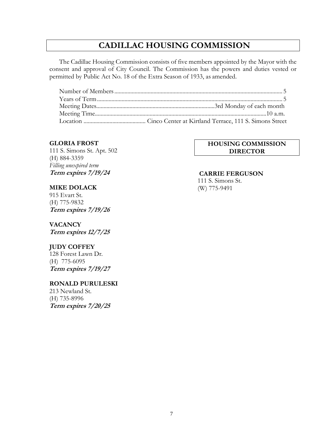# **CADILLAC HOUSING COMMISSION**

The Cadillac Housing Commission consists of five members appointed by the Mayor with the consent and approval of City Council. The Commission has the powers and duties vested or permitted by Public Act No. 18 of the Extra Season of 1933, as amended.

#### **GLORIA FROST**

111 S. Simons St. Apt. 502 (H) 884-3359 *Filling unexpired term* **Term expires 7/19/24**

#### **MIKE DOLACK**

915 Evart St. (H) 775-9832 **Term expires 7/19/26**

#### **VACANCY**

**Term expires 12/7/25**

#### **JUDY COFFEY**

128 Forest Lawn Dr. (H) 775-6095 **Term expires 7/19/27**

#### **RONALD PURULESKI**

213 Newland St. (H) 735-8996 **Term expires 7/20/25**

#### **HOUSING COMMISSION DIRECTOR**

#### **CARRIE FERGUSON**

111 S. Simons St. (W) 775-9491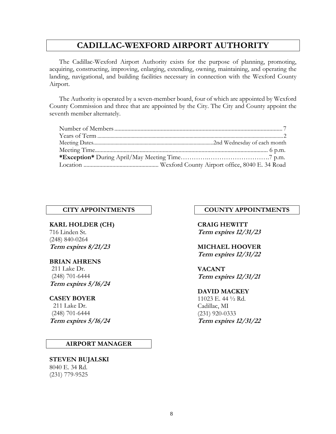# **CADILLAC-WEXFORD AIRPORT AUTHORITY**

The Cadillac-Wexford Airport Authority exists for the purpose of planning, promoting, acquiring, constructing, improving, enlarging, extending, owning, maintaining, and operating the landing, navigational, and building facilities necessary in connection with the Wexford County Airport.

The Authority is operated by a seven-member board, four of which are appointed by Wexford County Commission and three that are appointed by the City. The City and County appoint the seventh member alternately.

**KARL HOLDER (CH)** 716 Linden St. (248) 840-0264 **Term expires 8/21/23**

#### **BRIAN AHRENS**

 211 Lake Dr. (248) 701-6444 **Term expires 5/16/24**

#### **CASEY BOYER**

 211 Lake Dr. (248) 701-6444 **Term expires 5/16/24**

#### **AIRPORT MANAGER**

#### **STEVEN BUJALSKI** 8040 E. 34 Rd. (231) 779-9525

#### **CITY APPOINTMENTS COUNTY APPOINTMENTS**

**CRAIG HEWITT Term expires 12/31/23**

#### **MICHAEL HOOVER Term expires 12/31/22**

**VACANT Term expires 12/31/21**

#### **DAVID MACKEY**

11023 E. 44 ½ Rd. Cadillac, MI (231) 920-0333 **Term expires 12/31/22**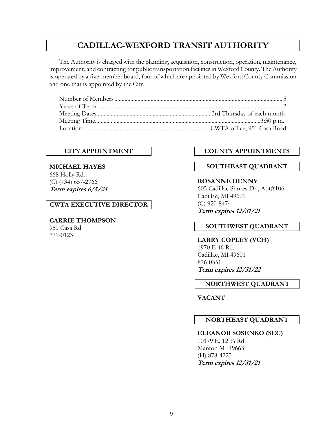# **CADILLAC-WEXFORD TRANSIT AUTHORITY**

The Authority is charged with the planning, acquisition, construction, operation, maintenance, improvement, and contracting for public transportation facilities in Wexford County. The Authority is operated by a five-member board, four of which are appointed by Wexford County Commission and one that is appointed by the City.

#### **CITY APPOINTMENT**

**MICHAEL HAYES** 668 Holly Rd. (C) (734) 657-2766 **Term expires 6/5/24**

#### **CWTA EXECUTIVE DIRECTOR**

#### **CARRIE THOMPSON**

951 Casa Rd. 779-0123

#### **COUNTY APPOINTMENTS**

#### **SOUTHEAST QUADRANT**

#### **ROSANNE DENNY**

605 Cadillac Shores Dr., Apt#106 Cadillac, MI 49601 (C) 920-8474 **Term expires 12/31/21**

#### **SOUTHWEST QUADRANT**

**LARRY COPLEY (VCH)** 1970 E 46 Rd. Cadillac, MI 49601 876-0351 **Term expires 12/31/22**

#### **NORTHWEST QUADRANT**

**VACANT**

#### **NORTHEAST QUADRANT**

#### **ELEANOR SOSENKO (SEC)**

10179 E. 12 ¾ Rd. Manton MI 49663 (H) 878-4225 **Term expires 12/31/21**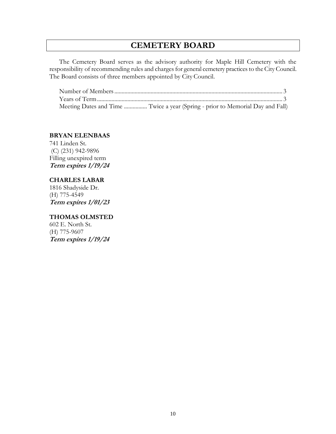# **CEMETERY BOARD**

The Cemetery Board serves as the advisory authority for Maple Hill Cemetery with the responsibility of recommending rules and charges for general cemetery practices to the City Council. The Board consists of three members appointed by City Council.

| Meeting Dates and Time  Twice a year (Spring - prior to Memorial Day and Fall) |  |
|--------------------------------------------------------------------------------|--|

### **BRYAN ELENBAAS**

741 Linden St. (C) (231) 942-9896 Filling unexpired term **Term expires 1/19/24**

#### **CHARLES LABAR**

1816 Shadyside Dr. (H) 775-4549 **Term expires 1/01/23**

#### **THOMAS OLMSTED**

602 E. North St. (H) 775-9607 **Term expires 1/19/24**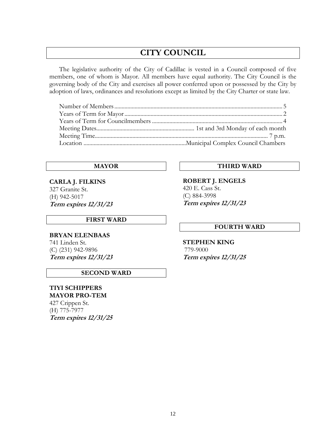# **CITY COUNCIL**

The legislative authority of the City of Cadillac is vested in a Council composed of five members, one of whom is Mayor. All members have equal authority. The City Council is the governing body of the City and exercises all power conferred upon or possessed by the City by adoption of laws, ordinances and resolutions except as limited by the City Charter or state law.

**CARLA J. FILKINS** 327 Granite St. (H) 942-5017 **Term expires 12/31/23**

#### **FIRST WARD**

**BRYAN ELENBAAS** 741 Linden St. (C) (231) 942-9896 **Term expires 12/31/23**

#### **SECOND WARD**

**TIYI SCHIPPERS MAYOR PRO-TEM** 427 Crippen St. (H) 775-7977 **Term expires 12/31/25**

## **MAYOR THIRD WARD**

**ROBERT J. ENGELS** 420 E. Cass St. (C) 884-3998 **Term expires 12/31/23**

#### **FOURTH WARD**

**STEPHEN KING** 779-9000 **Term expires 12/31/25**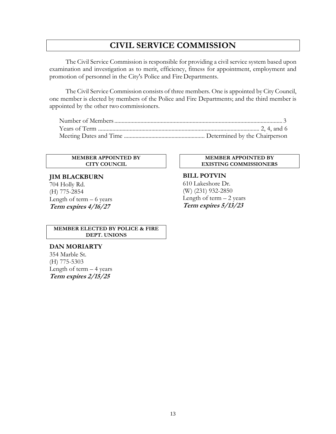# **CIVIL SERVICE COMMISSION**

The Civil Service Commission is responsible for providing a civil service system based upon examination and investigation as to merit, efficiency, fitness for appointment, employment and promotion of personnel in the City's Police and Fire Departments.

The Civil Service Commission consists of three members. One is appointed by City Council, one member is elected by members of the Police and Fire Departments; and the third member is appointed by the other two commissioners.

#### **MEMBER APPOINTED BY CITY COUNCIL**

#### **JIM BLACKBURN**

704 Holly Rd. (H) 775-2854 Length of term  $-6$  years **Term expires 4/16/27**

#### **MEMBER APPOINTED BY EXISTING COMMISSIONERS**

#### **BILL POTVIN** 610 Lakeshore Dr. (W) (231) 932-2850 Length of term  $-2$  years **Term expires 5/13/23**

#### **MEMBER ELECTED BY POLICE & FIRE DEPT. UNIONS**

#### **DAN MORIARTY**

354 Marble St. (H) 775-5303 Length of term  $-4$  years **Term expires 2/15/25**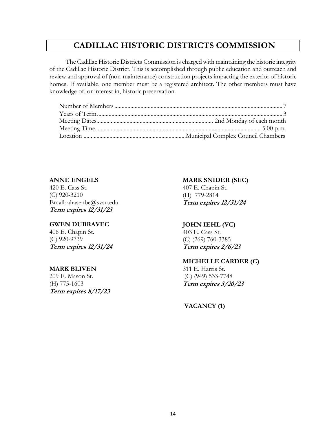# **CADILLAC HISTORIC DISTRICTS COMMISSION**

The Cadillac Historic Districts Commission is charged with maintaining the historic integrity of the Cadillac Historic District. This is accomplished through public education and outreach and review and approval of (non-maintenance) construction projects impacting the exterior of historic homes. If available, one member must be a registered architect. The other members must have knowledge of, or interest in, historic preservation.

## **ANNE ENGELS**

420 E. Cass St. (C) 920-3210 Email: [ahasenbe@svsu.edu](mailto:ahasenbe@svsu.edu) **Term expires 12/31/23**

#### **GWEN DUBRAVEC**

406 E. Chapin St. (C) 920-9739 **Term expires 12/31/24**

#### **MARK BLIVEN**

209 E. Mason St. (H) 775-1603 **Term expires 8/17/23**

#### **MARK SNIDER (SEC)**

407 E. Chapin St. (H) 779-2814 **Term expires 12/31/24**

#### **JOHN IEHL (VC)**

403 E. Cass St. (C) (269) 760-3385 **Term expires 2/6/23**

#### **MICHELLE CARDER (C)**

311 E. Harris St. (C) (949) 533-7748 **Term expires 3/20/23**

**VACANCY (1)**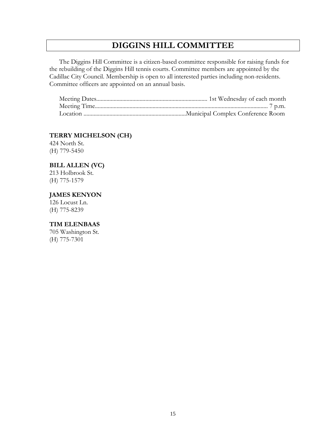# **DIGGINS HILL COMMITTEE**

The Diggins Hill Committee is a citizen-based committee responsible for raising funds for the rebuilding of the Diggins Hill tennis courts. Committee members are appointed by the Cadillac City Council. Membership is open to all interested parties including non-residents. Committee officers are appointed on an annual basis.

#### **TERRY MICHELSON (CH)**

424 North St. (H) 779-5450

#### **BILL ALLEN (VC)**

213 Holbrook St. (H) 775-1579

#### **JAMES KENYON**

126 Locust Ln. (H) 775-8239

#### **TIM ELENBAAS**

705 Washington St. (H) 775-7301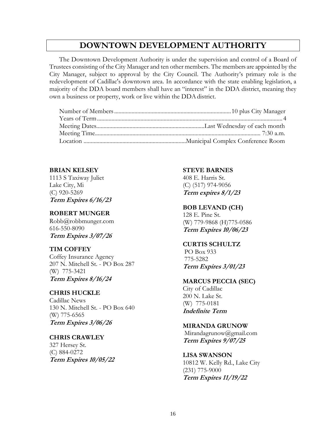# **DOWNTOWN DEVELOPMENT AUTHORITY**

The Downtown Development Authority is under the supervision and control of a Board of Trustees consisting of the City Manager and ten other members. The members are appointed by the City Manager, subject to approval by the City Council. The Authority's primary role is the redevelopment of Cadillac's downtown area. In accordance with the state enabling legislation, a majority of the DDA board members shall have an "interest" in the DDA district, meaning they own a business or property, work or live within the DDA district.

#### **BRIAN KELSEY**

1113 S Taxiway Juliet Lake City, Mi (C) 920-5269 **Term Expires 6/16/23**

#### **ROBERT MUNGER**

Robb@robbmunger.com 616-550-8090 **Term Expires 3/07/26**

#### **TIM COFFEY**

Coffey Insurance Agency 207 N. Mitchell St. - PO Box 287 (W) 775-3421 **Term Expires 8/16/24**

#### **CHRIS HUCKLE**

Cadillac News 130 N. Mitchell St. - PO Box 640 (W) 775-6565 **Term Expires 3/06/26**

#### **CHRIS CRAWLEY**

327 Hersey St. (C) 884-0272 **Term Expires 10/05/22**

#### **STEVE BARNES**

408 E. Harris St. (C) (517) 974-9056 **Term expires 8/1/23**

#### **BOB LEVAND (CH)**

128 E. Pine St. (W) 779-9868 (H)775-0586 **Term Expires 10/06/23**

#### **CURTIS SCHULTZ**

PO Box 933 775-5282 **Term Expires 3/01/23**

#### **MARCUS PECCIA (SEC)**

City of Cadillac 200 N. Lake St. (W) 775-0181 **Indefinite Term**

#### **MIRANDA GRUNOW**

Mirandagrunow@gmail.com **Term Expires 9/07/25**

#### **LISA SWANSON**

10812 W. Kelly Rd., Lake City (231) 775-9000 **Term Expires 11/19/22**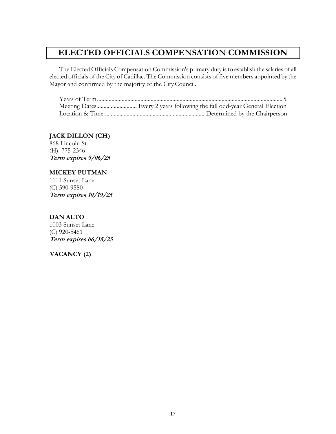# **ELECTED OFFICIALS COMPENSATION COMMISSION**

The Elected Officials Compensation Commission's primary duty is to establish the salaries of all elected officials of the City of Cadillac. The Commission consists of five members appointed by the Mayor and confirmed by the majority of the City Council.

#### **JACK DILLON (CH)**

868 Lincoln St. (H) 775-2346 **Term expires 9/06/25**

#### **MICKEY PUTMAN**

1111 Sunset Lane (C) 590-9580 **Term expires 10/19/25**

#### **DAN ALTO**

1003 Sunset Lane (C) 920-5461 **Term expires 06/15/25**

#### **VACANCY (2)**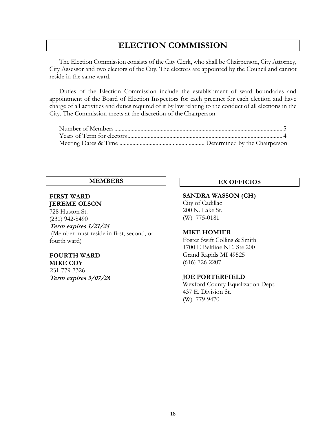# **ELECTION COMMISSION**

The Election Commission consists of the City Clerk, who shall be Chairperson, City Attorney, City Assessor and two electors of the City. The electors are appointed by the Council and cannot reside in the same ward.

Duties of the Election Commission include the establishment of ward boundaries and appointment of the Board of Election Inspectors for each precinct for each election and have charge of all activities and duties required of it by law relating to the conduct of all elections in the City. The Commission meets at the discretion of the Chairperson.

#### **FIRST WARD JEREME OLSON**

728 Huston St. (231) 942-8490

#### **Term expires 1/21/24**

(Member must reside in first, second, or fourth ward)

## **FOURTH WARD MIKE COY**

 231-779-7326 **Term expires 3/07/26**

## **MEMBERS EX OFFICIOS**

#### **SANDRA WASSON (CH)**

City of Cadillac 200 N. Lake St. (W) 775-0181

#### **MIKE HOMIER**

Foster Swift Collins & Smith 1700 E Beltline NE. Ste 200 Grand Rapids MI 49525 (616) 726-2207

#### **JOE PORTERFIELD**

Wexford County Equalization Dept. 437 E. Division St. (W) 779-9470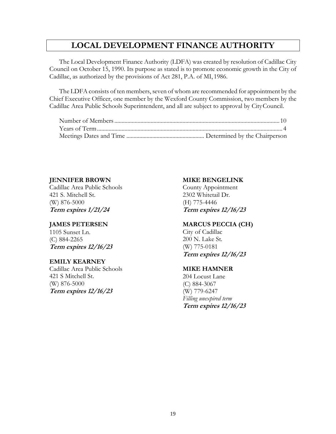# **LOCAL DEVELOPMENT FINANCE AUTHORITY**

The Local Development Finance Authority (LDFA) was created by resolution of Cadillac City Council on October 15, 1990. Its purpose as stated is to promote economic growth in the City of Cadillac, as authorized by the provisions of Act 281, P.A. of MI, 1986.

The LDFA consists of ten members, seven of whom are recommended for appointment by the Chief Executive Officer, one member by the Wexford County Commission, two members by the Cadillac Area Public Schools Superintendent, and all are subject to approval by CityCouncil.

#### **JENNIFER BROWN**

Cadillac Area Public Schools 421 S. Mitchell St. (W) 876-5000 **Term expires 1/21/24**

#### **JAMES PETERSEN**

1105 Sunset Ln. (C) 884-2265 **Term expires 12/16/23**

#### **EMILY KEARNEY**

Cadillac Area Public Schools 421 S Mitchell St. (W) 876-5000 **Term expires 12/16/23**

#### **MIKE BENGELINK**

County Appointment 2302 Whitetail Dr. (H) 775-4446 **Term expires 12/16/23**

#### **MARCUS PECCIA (CH)**

City of Cadillac 200 N. Lake St. (W) 775-0181 **Term expires 12/16/23**

#### **MIKE HAMNER**

204 Locust Lane (C) 884-3067 (W) 779-6247 *Filling unexpired term* **Term expires 12/16/23**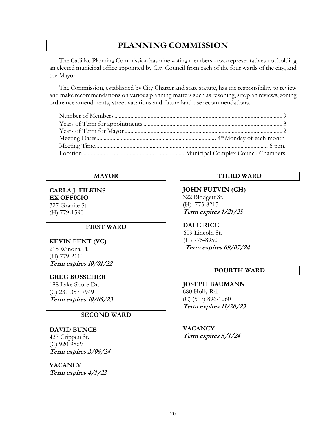# **PLANNING COMMISSION**

The Cadillac Planning Commission has nine voting members - two representatives not holding an elected municipal office appointed by City Council from each of the four wards of the city, and the Mayor.

The Commission, established by City Charter and state statute, has the responsibility to review and make recommendations on various planning matters such as rezoning, site plan reviews, zoning ordinance amendments, street vacations and future land use recommendations.

#### **MAYOR**

## **CARLA J. FILKINS EX OFFICIO**

327 Granite St. (H) 779-1590

#### **FIRST WARD**

**KEVIN FENT (VC)** 215 Winona Pl. (H) 779-2110 **Term expires 10/01/22**

#### **GREG BOSSCHER**

188 Lake Shore Dr. (C) 231-357-7949 **Term expires 10/05/23**

#### **SECOND WARD**

#### **DAVID BUNCE**

427 Crippen St. (C) 920-9869 **Term expires 2/06/24**

**VACANCY Term expires 4/1/22**

#### **THIRD WARD**

**JOHN PUTVIN (CH)** 322 Blodgett St. (H) 775-8215 **Term expires 1/21/25**

#### **DALE RICE**

 609 Lincoln St. (H) 775-8950 **Term expires 09/07/24**

#### **FOURTH WARD**

**JOSEPH BAUMANN** 680 Holly Rd. (C) (517) 896-1260 **Term expires 11/20/23**

**VACANCY Term expires 5/1/24**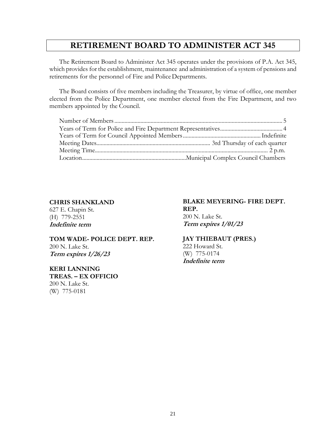# **RETIREMENT BOARD TO ADMINISTER ACT 345**

The Retirement Board to Administer Act 345 operates under the provisions of P.A. Act 345, which provides for the establishment, maintenance and administration of a system of pensions and retirements for the personnel of Fire and PoliceDepartments.

The Board consists of five members including the Treasurer, by virtue of office, one member elected from the Police Department, one member elected from the Fire Department, and two members appointed by the Council.

#### **CHRIS SHANKLAND**

627 E. Chapin St. (H) 779-2551 **Indefinite term**

**TOM WADE- POLICE DEPT. REP.** 200 N. Lake St. **Term expires 1/26/23**

**KERI LANNING TREAS. – EX OFFICIO** 200 N. Lake St. (W) 775-0181

#### **BLAKE MEYERING- FIRE DEPT. REP.** 200 N. Lake St. **Term expires 1/01/23**

#### **JAY THIEBAUT (PRES.)**

222 Howard St. (W) 775-0174 **Indefinite term**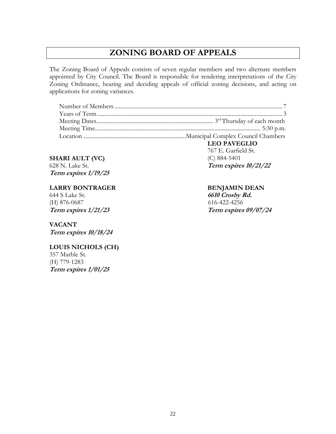# **ZONING BOARD OF APPEALS**

The Zoning Board of Appeals consists of seven regular members and two alternate members appointed by City Council. The Board is responsible for rendering interpretations of the City Zoning Ordinance, hearing and deciding appeals of official zoning decisions, and acting on applications for zoning variances.

**SHARI AULT (VC)** 628 N. Lake St. **Term expires 1/19/25**

#### **LARRY BONTRAGER**

644 S Lake St. (H) 876-0687 **Term expires 1/21/23**

## **VACANT**

**Term expires 10/18/24**

#### **LOUIS NICHOLS (CH)**

357 Marble St. (H) 779-1283 **Term expires 1/01/25** **LEO PAVEGLIO** 767 E. Garfield St. (C) 884-5401 **Term expires 10/21/22**

## **BENJAMIN DEAN**

**6610 Crosby Rd.** 616-422-4256 **Term expires 09/07/24**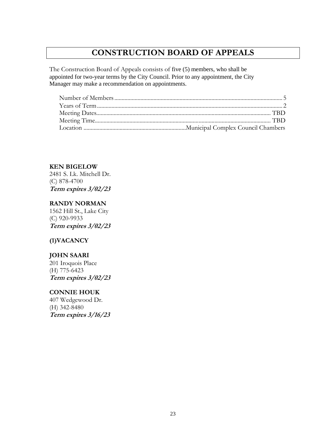# **CONSTRUCTION BOARD OF APPEALS**

The Construction Board of Appeals consists of five (5) members, who shall be appointed for two-year terms by the City Council. Prior to any appointment, the City Manager may make a recommendation on appointments.

**KEN BIGELOW**

2481 S. Lk. Mitchell Dr. (C) 878-4700 **Term expires 3/02/23**

## **RANDY NORMAN**

1562 Hill St., Lake City (C) 920-9933 **Term expires 3/02/23**

## **(1)VACANCY**

## **JOHN SAARI**

201 Iroquois Place (H) 775-6423 **Term expires 3/02/23**

#### **CONNIE HOUK**

407 Wedgewood Dr. (H) 342-8480 **Term expires 3/16/23**